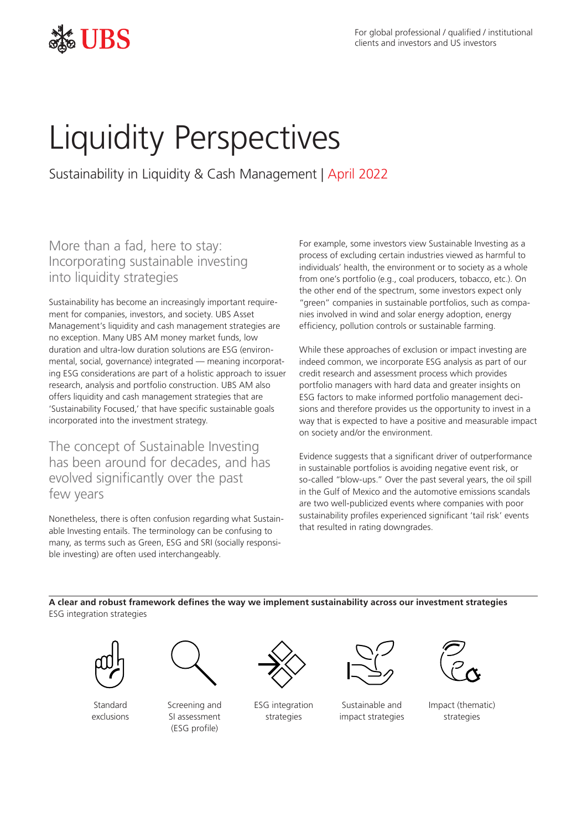

# Liquidity Perspectives

Sustainability in Liquidity & Cash Management | April 2022

## More than a fad, here to stay: Incorporating sustainable investing into liquidity strategies

Sustainability has become an increasingly important requirement for companies, investors, and society. UBS Asset Management's liquidity and cash management strategies are no exception. Many UBS AM money market funds, low duration and ultra-low duration solutions are ESG (environmental, social, governance) integrated — meaning incorporating ESG considerations are part of a holistic approach to issuer research, analysis and portfolio construction. UBS AM also offers liquidity and cash management strategies that are 'Sustainability Focused,' that have specific sustainable goals incorporated into the investment strategy.

The concept of Sustainable Investing has been around for decades, and has evolved significantly over the past few years

Nonetheless, there is often confusion regarding what Sustainable Investing entails. The terminology can be confusing to many, as terms such as Green, ESG and SRI (socially responsible investing) are often used interchangeably.

For example, some investors view Sustainable Investing as a process of excluding certain industries viewed as harmful to individuals' health, the environment or to society as a whole from one's portfolio (e.g., coal producers, tobacco, etc.). On the other end of the spectrum, some investors expect only "green" companies in sustainable portfolios, such as companies involved in wind and solar energy adoption, energy efficiency, pollution controls or sustainable farming.

While these approaches of exclusion or impact investing are indeed common, we incorporate ESG analysis as part of our credit research and assessment process which provides portfolio managers with hard data and greater insights on ESG factors to make informed portfolio management decisions and therefore provides us the opportunity to invest in a way that is expected to have a positive and measurable impact on society and/or the environment.

Evidence suggests that a significant driver of outperformance in sustainable portfolios is avoiding negative event risk, or so-called "blow-ups." Over the past several years, the oil spill in the Gulf of Mexico and the automotive emissions scandals are two well-publicized events where companies with poor sustainability profiles experienced significant 'tail risk' events that resulted in rating downgrades.

**A clear and robust framework defines the way we implement sustainability across our investment strategies** ESG integration strategies



Standard exclusions



Screening and SI assessment (ESG profile)



ESG integration strategies



Sustainable and impact strategies



Impact (thematic) strategies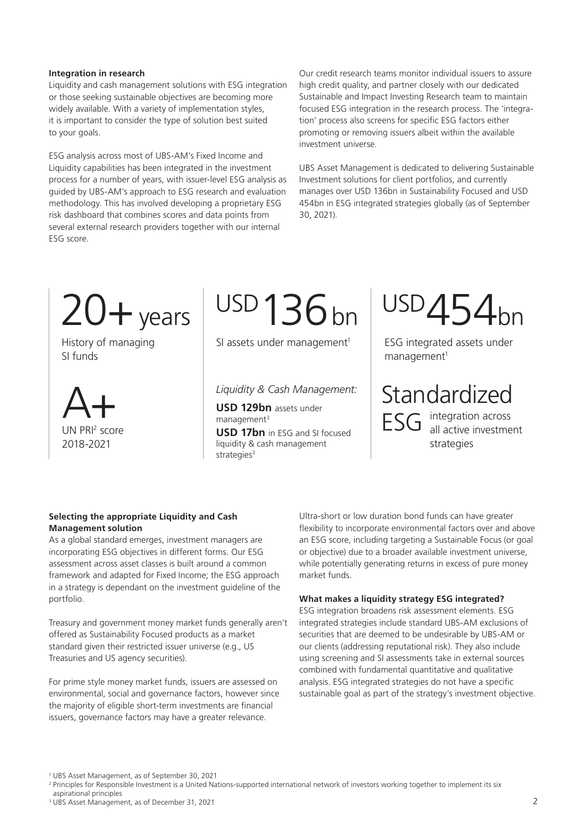### **Integration in research**

Liquidity and cash management solutions with ESG integration or those seeking sustainable objectives are becoming more widely available. With a variety of implementation styles, it is important to consider the type of solution best suited to your goals.

ESG analysis across most of UBS-AM's Fixed Income and Liquidity capabilities has been integrated in the investment process for a number of years, with issuer-level ESG analysis as guided by UBS-AM's approach to ESG research and evaluation methodology. This has involved developing a proprietary ESG risk dashboard that combines scores and data points from several external research providers together with our internal ESG score.

Our credit research teams monitor individual issuers to assure high credit quality, and partner closely with our dedicated Sustainable and Impact Investing Research team to maintain focused ESG integration in the research process. The 'integration' process also screens for specific ESG factors either promoting or removing issuers albeit within the available investment universe.

UBS Asset Management is dedicated to delivering Sustainable Investment solutions for client portfolios, and currently manages over USD 136bn in Sustainability Focused and USD 454bn in ESG integrated strategies globally (as of September 30, 2021).



History of managing SI funds



USD136 $bn$ 

SI assets under management<sup>1</sup>

*Liquidity & Cash Management:*

**USD 129bn** assets under management<sup>3</sup>

**USD 17bn** in ESG and SI focused liquidity & cash management strategies<sup>3</sup>

 $USD454$ bn

ESG integrated assets under management<sup>1</sup>

Standardized

ESG integration across<br>
ESG all active investment strategies

## **Selecting the appropriate Liquidity and Cash Management solution**

As a global standard emerges, investment managers are incorporating ESG objectives in different forms. Our ESG assessment across asset classes is built around a common framework and adapted for Fixed Income; the ESG approach in a strategy is dependant on the investment guideline of the portfolio.

Treasury and government money market funds generally aren't offered as Sustainability Focused products as a market standard given their restricted issuer universe (e.g., US Treasuries and US agency securities).

For prime style money market funds, issuers are assessed on environmental, social and governance factors, however since the majority of eligible short-term investments are financial issuers, governance factors may have a greater relevance.

Ultra-short or low duration bond funds can have greater flexibility to incorporate environmental factors over and above an ESG score, including targeting a Sustainable Focus (or goal or objective) due to a broader available investment universe, while potentially generating returns in excess of pure money market funds.

## **What makes a liquidity strategy ESG integrated?**

ESG integration broadens risk assessment elements. ESG integrated strategies include standard UBS-AM exclusions of securities that are deemed to be undesirable by UBS-AM or our clients (addressing reputational risk). They also include using screening and SI assessments take in external sources combined with fundamental quantitative and qualitative analysis. ESG integrated strategies do not have a specific sustainable goal as part of the strategy's investment objective.

<sup>1</sup> UBS Asset Management, as of September 30, 2021

<sup>&</sup>lt;sup>2</sup> Principles for Responsible Investment is a United Nations-supported international network of investors working together to implement its six

aspirational principles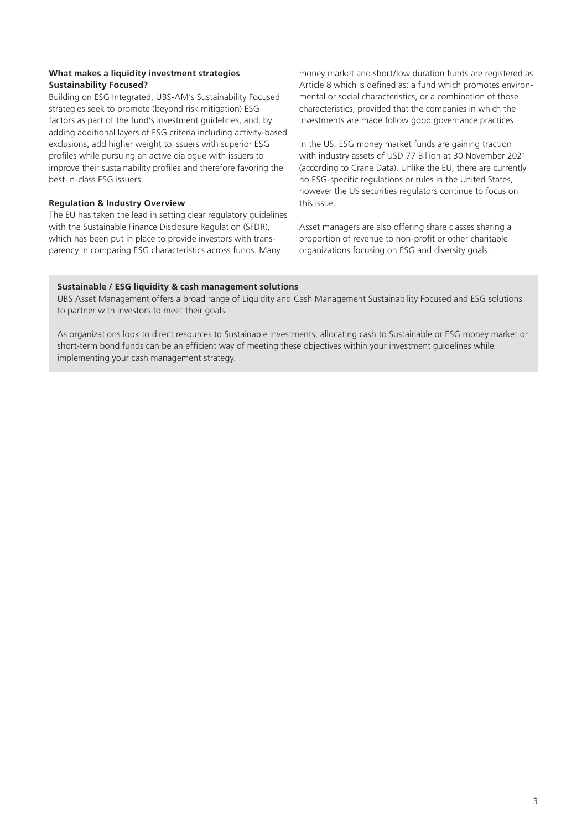## **What makes a liquidity investment strategies Sustainability Focused?**

Building on ESG Integrated, UBS-AM's Sustainability Focused strategies seek to promote (beyond risk mitigation) ESG factors as part of the fund's investment guidelines, and, by adding additional layers of ESG criteria including activity-based exclusions, add higher weight to issuers with superior ESG profiles while pursuing an active dialogue with issuers to improve their sustainability profiles and therefore favoring the best-in-class ESG issuers.

## **Regulation & Industry Overview**

The EU has taken the lead in setting clear regulatory guidelines with the Sustainable Finance Disclosure Regulation (SFDR), which has been put in place to provide investors with transparency in comparing ESG characteristics across funds. Many

money market and short/low duration funds are registered as Article 8 which is defined as: a fund which promotes environmental or social characteristics, or a combination of those characteristics, provided that the companies in which the investments are made follow good governance practices.

In the US, ESG money market funds are gaining traction with industry assets of USD 77 Billion at 30 November 2021 (according to Crane Data). Unlike the EU, there are currently no ESG-specific regulations or rules in the United States, however the US securities regulators continue to focus on this issue.

Asset managers are also offering share classes sharing a proportion of revenue to non-profit or other charitable organizations focusing on ESG and diversity goals.

## **Sustainable / ESG liquidity & cash management solutions**

UBS Asset Management offers a broad range of Liquidity and Cash Management Sustainability Focused and ESG solutions to partner with investors to meet their goals.

As organizations look to direct resources to Sustainable Investments, allocating cash to Sustainable or ESG money market or short-term bond funds can be an efficient way of meeting these objectives within your investment guidelines while implementing your cash management strategy.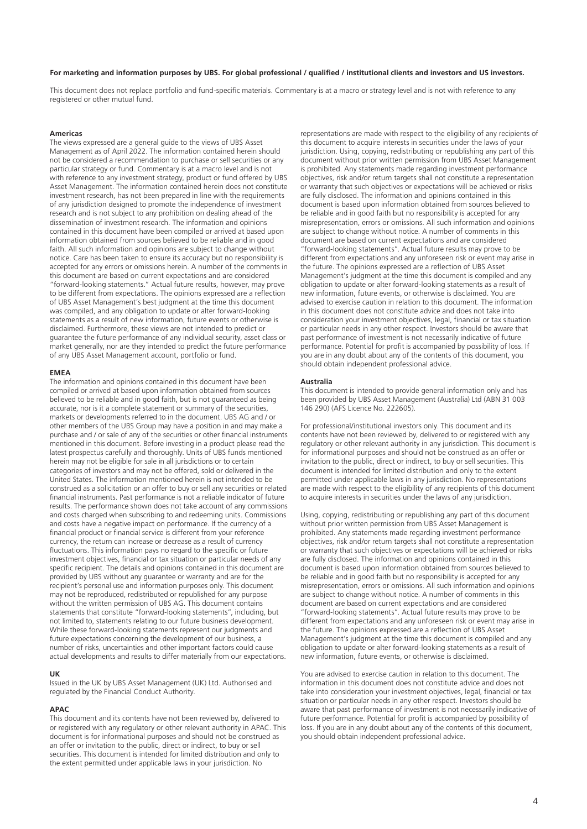#### **For marketing and information purposes by UBS. For global professional / qualified / institutional clients and investors and US investors.**

This document does not replace portfolio and fund-specific materials. Commentary is at a macro or strategy level and is not with reference to any registered or other mutual fund.

#### **Americas**

The views expressed are a general guide to the views of UBS Asset Management as of April 2022. The information contained herein should not be considered a recommendation to purchase or sell securities or any particular strategy or fund. Commentary is at a macro level and is not with reference to any investment strategy, product or fund offered by UBS Asset Management. The information contained herein does not constitute investment research, has not been prepared in line with the requirements of any jurisdiction designed to promote the independence of investment research and is not subject to any prohibition on dealing ahead of the dissemination of investment research. The information and opinions contained in this document have been compiled or arrived at based upon information obtained from sources believed to be reliable and in good faith. All such information and opinions are subject to change without notice. Care has been taken to ensure its accuracy but no responsibility is accepted for any errors or omissions herein. A number of the comments in this document are based on current expectations and are considered "forward-looking statements." Actual future results, however, may prove to be different from expectations. The opinions expressed are a reflection of UBS Asset Management's best judgment at the time this document was compiled, and any obligation to update or alter forward-looking statements as a result of new information, future events or otherwise is disclaimed. Furthermore, these views are not intended to predict or guarantee the future performance of any individual security, asset class or market generally, nor are they intended to predict the future performance of any UBS Asset Management account, portfolio or fund.

#### **EMEA**

The information and opinions contained in this document have been compiled or arrived at based upon information obtained from sources believed to be reliable and in good faith, but is not guaranteed as being accurate, nor is it a complete statement or summary of the securities, markets or developments referred to in the document. UBS AG and / or other members of the UBS Group may have a position in and may make a purchase and / or sale of any of the securities or other financial instruments mentioned in this document. Before investing in a product please read the latest prospectus carefully and thoroughly. Units of UBS funds mentioned herein may not be eligible for sale in all jurisdictions or to certain categories of investors and may not be offered, sold or delivered in the United States. The information mentioned herein is not intended to be construed as a solicitation or an offer to buy or sell any securities or related financial instruments. Past performance is not a reliable indicator of future results. The performance shown does not take account of any commissions and costs charged when subscribing to and redeeming units. Commissions and costs have a negative impact on performance. If the currency of a financial product or financial service is different from your reference currency, the return can increase or decrease as a result of currency fluctuations. This information pays no regard to the specific or future investment objectives, financial or tax situation or particular needs of any specific recipient. The details and opinions contained in this document are provided by UBS without any guarantee or warranty and are for the recipient's personal use and information purposes only. This document may not be reproduced, redistributed or republished for any purpose without the written permission of UBS AG. This document contains statements that constitute "forward-looking statements", including, but not limited to, statements relating to our future business development. While these forward-looking statements represent our judgments and future expectations concerning the development of our business, a number of risks, uncertainties and other important factors could cause actual developments and results to differ materially from our expectations.

#### **UK**

Issued in the UK by UBS Asset Management (UK) Ltd. Authorised and regulated by the Financial Conduct Authority.

#### **APAC**

This document and its contents have not been reviewed by, delivered to or registered with any regulatory or other relevant authority in APAC. This document is for informational purposes and should not be construed as an offer or invitation to the public, direct or indirect, to buy or sell securities. This document is intended for limited distribution and only to the extent permitted under applicable laws in your jurisdiction. No

representations are made with respect to the eligibility of any recipients of this document to acquire interests in securities under the laws of your jurisdiction. Using, copying, redistributing or republishing any part of this document without prior written permission from UBS Asset Management is prohibited. Any statements made regarding investment performance objectives, risk and/or return targets shall not constitute a representation or warranty that such objectives or expectations will be achieved or risks are fully disclosed. The information and opinions contained in this document is based upon information obtained from sources believed to be reliable and in good faith but no responsibility is accepted for any misrepresentation, errors or omissions. All such information and opinions are subject to change without notice. A number of comments in this document are based on current expectations and are considered "forward-looking statements". Actual future results may prove to be different from expectations and any unforeseen risk or event may arise in the future. The opinions expressed are a reflection of UBS Asset Management's judgment at the time this document is compiled and any obligation to update or alter forward-looking statements as a result of new information, future events, or otherwise is disclaimed. You are advised to exercise caution in relation to this document. The information in this document does not constitute advice and does not take into consideration your investment objectives, legal, financial or tax situation or particular needs in any other respect. Investors should be aware that past performance of investment is not necessarily indicative of future performance. Potential for profit is accompanied by possibility of loss. If you are in any doubt about any of the contents of this document, you should obtain independent professional advice.

#### **Australia**

This document is intended to provide general information only and has been provided by UBS Asset Management (Australia) Ltd (ABN 31 003 146 290) (AFS Licence No. 222605).

For professional/institutional investors only. This document and its contents have not been reviewed by, delivered to or registered with any regulatory or other relevant authority in any jurisdiction. This document is for informational purposes and should not be construed as an offer or invitation to the public, direct or indirect, to buy or sell securities. This document is intended for limited distribution and only to the extent permitted under applicable laws in any jurisdiction. No representations are made with respect to the eligibility of any recipients of this document to acquire interests in securities under the laws of any jurisdiction.

Using, copying, redistributing or republishing any part of this document without prior written permission from UBS Asset Management is prohibited. Any statements made regarding investment performance objectives, risk and/or return targets shall not constitute a representation or warranty that such objectives or expectations will be achieved or risks are fully disclosed. The information and opinions contained in this document is based upon information obtained from sources believed to be reliable and in good faith but no responsibility is accepted for any misrepresentation, errors or omissions. All such information and opinions are subject to change without notice. A number of comments in this document are based on current expectations and are considered "forward-looking statements". Actual future results may prove to be different from expectations and any unforeseen risk or event may arise in the future. The opinions expressed are a reflection of UBS Asset Management's judgment at the time this document is compiled and any obligation to update or alter forward-looking statements as a result of new information, future events, or otherwise is disclaimed.

You are advised to exercise caution in relation to this document. The information in this document does not constitute advice and does not take into consideration your investment objectives, legal, financial or tax situation or particular needs in any other respect. Investors should be aware that past performance of investment is not necessarily indicative of future performance. Potential for profit is accompanied by possibility of loss. If you are in any doubt about any of the contents of this document, you should obtain independent professional advice.